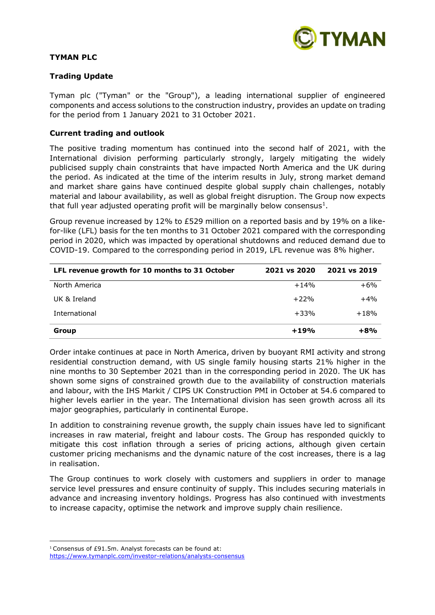

# **TYMAN PLC**

# **Trading Update**

Tyman plc ("Tyman" or the "Group"), a leading international supplier of engineered components and access solutions to the construction industry, provides an update on trading for the period from 1 January 2021 to 31 October 2021.

## **Current trading and outlook**

The positive trading momentum has continued into the second half of 2021, with the International division performing particularly strongly, largely mitigating the widely publicised supply chain constraints that have impacted North America and the UK during the period. As indicated at the time of the interim results in July, strong market demand and market share gains have continued despite global supply chain challenges, notably material and labour availability, as well as global freight disruption. The Group now expects that full year adjusted operating profit will be marginally below consensus<sup>1</sup>.

Group revenue increased by 12% to £529 million on a reported basis and by 19% on a likefor-like (LFL) basis for the ten months to 31 October 2021 compared with the corresponding period in 2020, which was impacted by operational shutdowns and reduced demand due to COVID-19. Compared to the corresponding period in 2019, LFL revenue was 8% higher.

| LFL revenue growth for 10 months to 31 October | 2021 vs 2020 | 2021 vs 2019 |
|------------------------------------------------|--------------|--------------|
| North America                                  | $+14%$       | $+6%$        |
| UK & Ireland                                   | $+22%$       | $+4%$        |
| International                                  | $+33%$       | $+18%$       |
| Group                                          | $+19%$       | $+8%$        |

Order intake continues at pace in North America, driven by buoyant RMI activity and strong residential construction demand, with US single family housing starts 21% higher in the nine months to 30 September 2021 than in the corresponding period in 2020. The UK has shown some signs of constrained growth due to the availability of construction materials and labour, with the IHS Markit / CIPS UK Construction PMI in October at 54.6 compared to higher levels earlier in the year. The International division has seen growth across all its major geographies, particularly in continental Europe.

In addition to constraining revenue growth, the supply chain issues have led to significant increases in raw material, freight and labour costs. The Group has responded quickly to mitigate this cost inflation through a series of pricing actions, although given certain customer pricing mechanisms and the dynamic nature of the cost increases, there is a lag in realisation.

The Group continues to work closely with customers and suppliers in order to manage service level pressures and ensure continuity of supply. This includes securing materials in advance and increasing inventory holdings. Progress has also continued with investments to increase capacity, optimise the network and improve supply chain resilience.

<sup>1</sup> Consensus of £91.5m. Analyst forecasts can be found at:

<https://www.tymanplc.com/investor-relations/analysts-consensus>